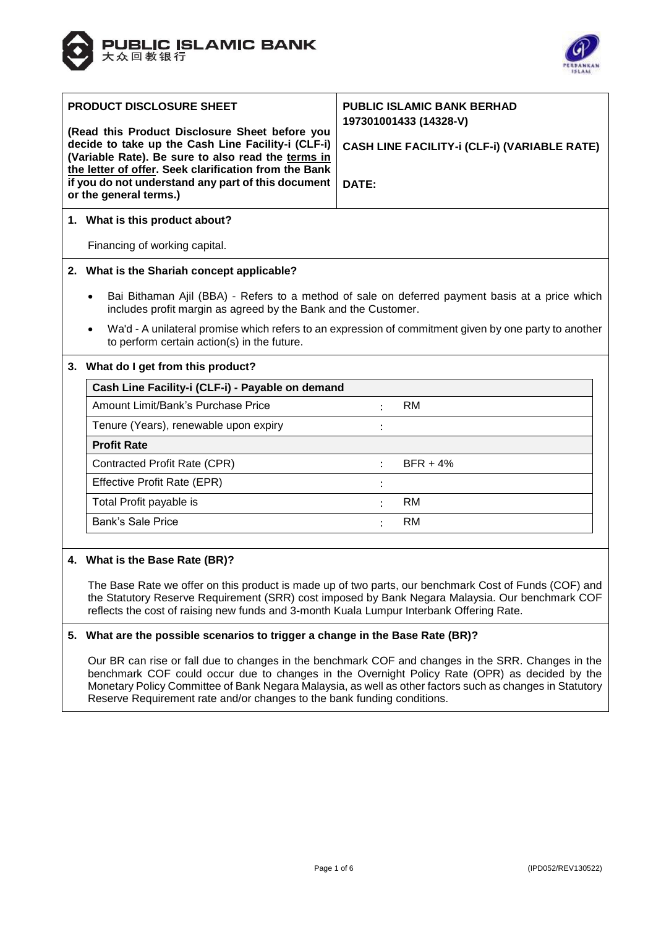



| <b>PRODUCT DISCLOSURE SHEET</b><br>(Read this Product Disclosure Sheet before you<br>decide to take up the Cash Line Facility-i (CLF-i)<br>(Variable Rate). Be sure to also read the terms in<br>the letter of offer. Seek clarification from the Bank<br>if you do not understand any part of this document<br>or the general terms.) |                                                                                                                                                                   | <b>PUBLIC ISLAMIC BANK BERHAD</b><br>197301001433 (14328-V)<br>CASH LINE FACILITY-i (CLF-i) (VARIABLE RATE)<br>DATE: |  |  |  |  |
|----------------------------------------------------------------------------------------------------------------------------------------------------------------------------------------------------------------------------------------------------------------------------------------------------------------------------------------|-------------------------------------------------------------------------------------------------------------------------------------------------------------------|----------------------------------------------------------------------------------------------------------------------|--|--|--|--|
|                                                                                                                                                                                                                                                                                                                                        | 1. What is this product about?                                                                                                                                    |                                                                                                                      |  |  |  |  |
|                                                                                                                                                                                                                                                                                                                                        | Financing of working capital.                                                                                                                                     |                                                                                                                      |  |  |  |  |
|                                                                                                                                                                                                                                                                                                                                        | 2. What is the Shariah concept applicable?                                                                                                                        |                                                                                                                      |  |  |  |  |
|                                                                                                                                                                                                                                                                                                                                        | Bai Bithaman Ajil (BBA) - Refers to a method of sale on deferred payment basis at a price which<br>includes profit margin as agreed by the Bank and the Customer. |                                                                                                                      |  |  |  |  |
|                                                                                                                                                                                                                                                                                                                                        | Wa'd - A unilateral promise which refers to an expression of commitment given by one party to another<br>$\bullet$<br>to perform certain action(s) in the future. |                                                                                                                      |  |  |  |  |
|                                                                                                                                                                                                                                                                                                                                        | 3. What do I get from this product?                                                                                                                               |                                                                                                                      |  |  |  |  |
|                                                                                                                                                                                                                                                                                                                                        | Cash Line Facility-i (CLF-i) - Pavable on demand                                                                                                                  |                                                                                                                      |  |  |  |  |

| Cash Line Facility-i (CLF-i) - Payable on demand |           |            |
|--------------------------------------------------|-----------|------------|
| Amount Limit/Bank's Purchase Price               |           | <b>RM</b>  |
| Tenure (Years), renewable upon expiry            |           |            |
| <b>Profit Rate</b>                               |           |            |
| Contracted Profit Rate (CPR)                     |           | $BFR + 4%$ |
| Effective Profit Rate (EPR)                      |           |            |
| Total Profit payable is                          |           | RM.        |
| Bank's Sale Price                                | $\bullet$ | RM         |
|                                                  |           |            |

#### **4. What is the Base Rate (BR)?**

The Base Rate we offer on this product is made up of two parts, our benchmark Cost of Funds (COF) and the Statutory Reserve Requirement (SRR) cost imposed by Bank Negara Malaysia. Our benchmark COF reflects the cost of raising new funds and 3-month Kuala Lumpur Interbank Offering Rate.

#### **5. What are the possible scenarios to trigger a change in the Base Rate (BR)?**

Our BR can rise or fall due to changes in the benchmark COF and changes in the SRR. Changes in the benchmark COF could occur due to changes in the Overnight Policy Rate (OPR) as decided by the Monetary Policy Committee of Bank Negara Malaysia, as well as other factors such as changes in Statutory Reserve Requirement rate and/or changes to the bank funding conditions.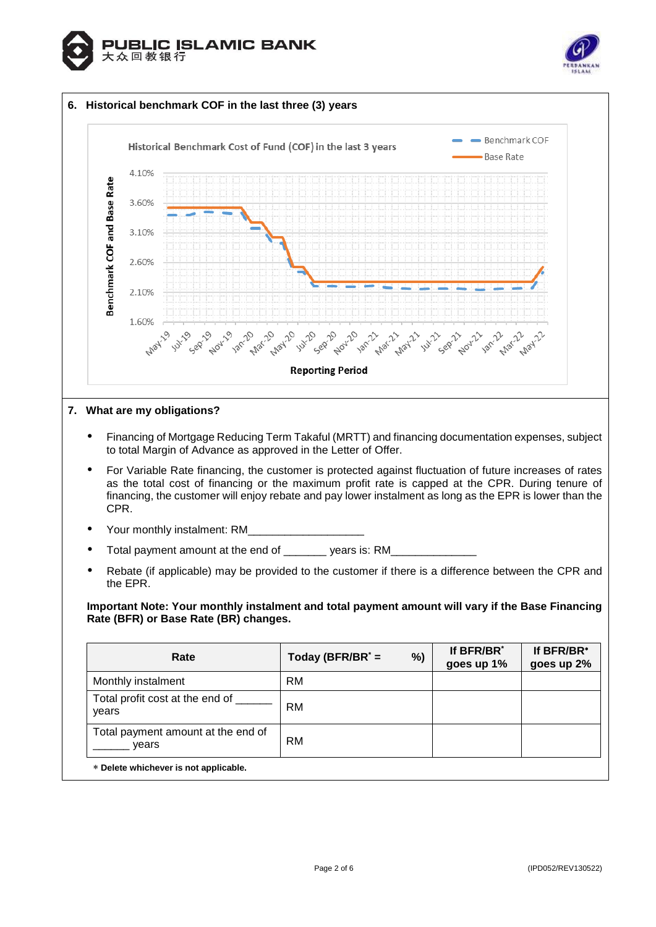



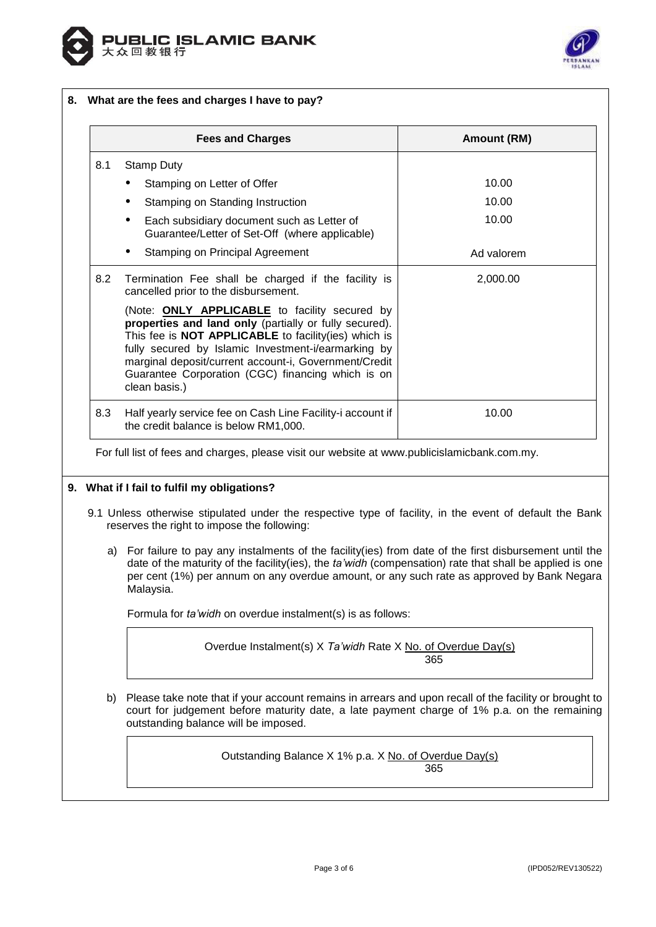



# **8. What are the fees and charges I have to pay?**

|     | <b>Fees and Charges</b>                                                                                                                                                                                                                                                                                                                                      | Amount (RM) |
|-----|--------------------------------------------------------------------------------------------------------------------------------------------------------------------------------------------------------------------------------------------------------------------------------------------------------------------------------------------------------------|-------------|
| 8.1 | <b>Stamp Duty</b>                                                                                                                                                                                                                                                                                                                                            |             |
|     | Stamping on Letter of Offer                                                                                                                                                                                                                                                                                                                                  | 10.00       |
|     | Stamping on Standing Instruction                                                                                                                                                                                                                                                                                                                             | 10.00       |
|     | Each subsidiary document such as Letter of<br>Guarantee/Letter of Set-Off (where applicable)                                                                                                                                                                                                                                                                 | 10.00       |
|     | Stamping on Principal Agreement                                                                                                                                                                                                                                                                                                                              | Ad valorem  |
| 8.2 | Termination Fee shall be charged if the facility is<br>cancelled prior to the disbursement.                                                                                                                                                                                                                                                                  | 2,000.00    |
|     | (Note: <b>ONLY APPLICABLE</b> to facility secured by<br>properties and land only (partially or fully secured).<br>This fee is NOT APPLICABLE to facility(ies) which is<br>fully secured by Islamic Investment-i/earmarking by<br>marginal deposit/current account-i, Government/Credit<br>Guarantee Corporation (CGC) financing which is on<br>clean basis.) |             |
| 8.3 | Half yearly service fee on Cash Line Facility-i account if<br>the credit balance is below RM1,000.                                                                                                                                                                                                                                                           | 10.00       |

For full list of fees and charges, please visit our website at [www.publicislamicbank.com.my.](http://www.publicislamicbank.com.my/)

#### **9. What if I fail to fulfil my obligations?**

- 9.1 Unless otherwise stipulated under the respective type of facility, in the event of default the Bank reserves the right to impose the following:
	- a) For failure to pay any instalments of the facility(ies) from date of the first disbursement until the date of the maturity of the facility(ies), the *ta'widh* (compensation) rate that shall be applied is one per cent (1%) per annum on any overdue amount, or any such rate as approved by Bank Negara Malaysia.

Formula for *ta'widh* on overdue instalment(s) is as follows:

Overdue Instalment(s) X *Ta'widh* Rate X No. of Overdue Day(s) 365

b) Please take note that if your account remains in arrears and upon recall of the facility or brought to court for judgement before maturity date, a late payment charge of 1% p.a. on the remaining outstanding balance will be imposed.

Outstanding Balance X 1% p.a. X No. of Overdue Day(s)

365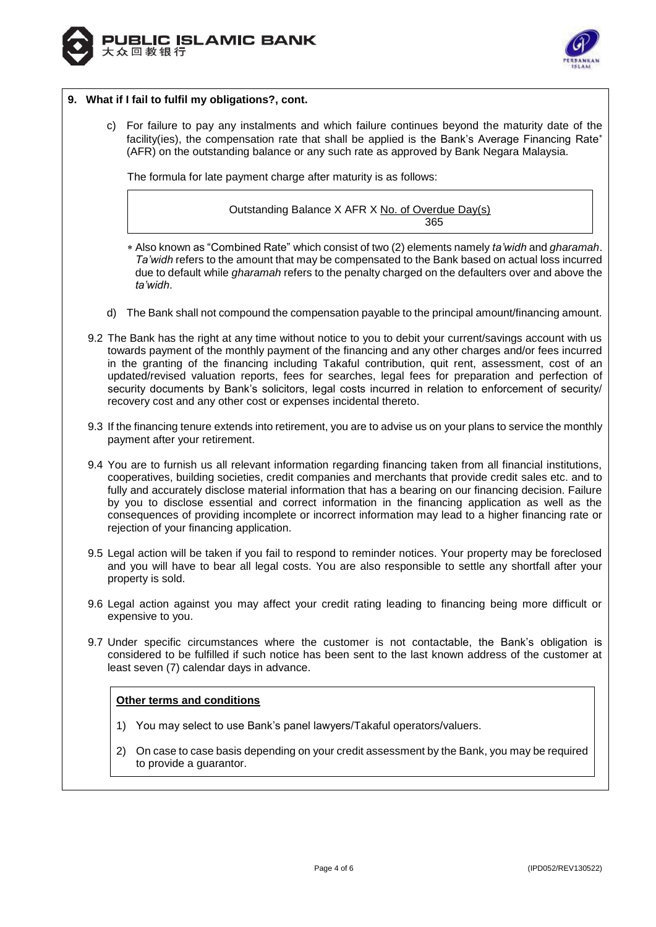



## **9. What if I fail to fulfil my obligations?, cont.**

c) For failure to pay any instalments and which failure continues beyond the maturity date of the facility(ies), the compensation rate that shall be applied is the Bank's Average Financing Rate\* (AFR) on the outstanding balance or any such rate as approved by Bank Negara Malaysia.

The formula for late payment charge after maturity is as follows:

# Outstanding Balance X AFR X No. of Overdue Day(s) 365

- Also known as "Combined Rate" which consist of two (2) elements namely *ta'widh* and *gharamah*. *Ta'widh* refers to the amount that may be compensated to the Bank based on actual loss incurred due to default while *gharamah* refers to the penalty charged on the defaulters over and above the *ta'widh*.
- d) The Bank shall not compound the compensation payable to the principal amount/financing amount.
- 9.2 The Bank has the right at any time without notice to you to debit your current/savings account with us towards payment of the monthly payment of the financing and any other charges and/or fees incurred in the granting of the financing including Takaful contribution, quit rent, assessment, cost of an updated/revised valuation reports, fees for searches, legal fees for preparation and perfection of security documents by Bank's solicitors, legal costs incurred in relation to enforcement of security/ recovery cost and any other cost or expenses incidental thereto.
- 9.3 If the financing tenure extends into retirement, you are to advise us on your plans to service the monthly payment after your retirement.
- 9.4 You are to furnish us all relevant information regarding financing taken from all financial institutions, cooperatives, building societies, credit companies and merchants that provide credit sales etc. and to fully and accurately disclose material information that has a bearing on our financing decision. Failure by you to disclose essential and correct information in the financing application as well as the consequences of providing incomplete or incorrect information may lead to a higher financing rate or rejection of your financing application.
- 9.5 Legal action will be taken if you fail to respond to reminder notices. Your property may be foreclosed and you will have to bear all legal costs. You are also responsible to settle any shortfall after your property is sold.
- 9.6 Legal action against you may affect your credit rating leading to financing being more difficult or expensive to you.
- 9.7 Under specific circumstances where the customer is not contactable, the Bank's obligation is considered to be fulfilled if such notice has been sent to the last known address of the customer at least seven (7) calendar days in advance.

# **Other terms and conditions**

- 1) You may select to use Bank's panel lawyers/Takaful operators/valuers.
- 2) On case to case basis depending on your credit assessment by the Bank, you may be required to provide a guarantor.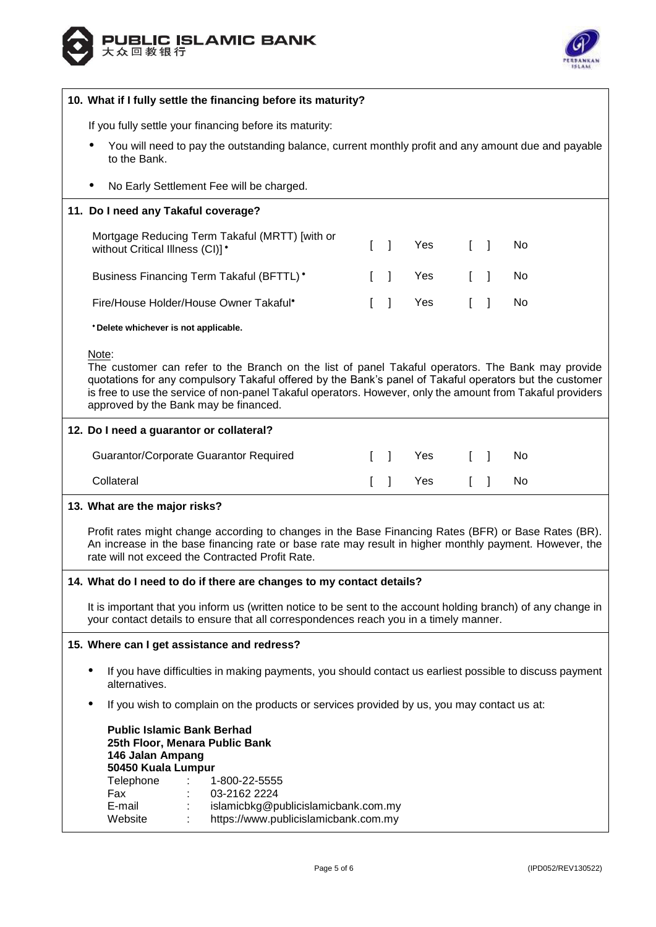



| 10. What if I fully settle the financing before its maturity?                                                                                                                                                                                                                                                                                                                |                                                                                                                                                                                                        |                                   |            |                                   |              |           |
|------------------------------------------------------------------------------------------------------------------------------------------------------------------------------------------------------------------------------------------------------------------------------------------------------------------------------------------------------------------------------|--------------------------------------------------------------------------------------------------------------------------------------------------------------------------------------------------------|-----------------------------------|------------|-----------------------------------|--------------|-----------|
| If you fully settle your financing before its maturity:                                                                                                                                                                                                                                                                                                                      |                                                                                                                                                                                                        |                                   |            |                                   |              |           |
| You will need to pay the outstanding balance, current monthly profit and any amount due and payable<br>to the Bank.                                                                                                                                                                                                                                                          |                                                                                                                                                                                                        |                                   |            |                                   |              |           |
| No Early Settlement Fee will be charged.                                                                                                                                                                                                                                                                                                                                     |                                                                                                                                                                                                        |                                   |            |                                   |              |           |
| 11. Do I need any Takaful coverage?                                                                                                                                                                                                                                                                                                                                          |                                                                                                                                                                                                        |                                   |            |                                   |              |           |
| Mortgage Reducing Term Takaful (MRTT) [with or<br>without Critical Illness (CI)]*                                                                                                                                                                                                                                                                                            | L                                                                                                                                                                                                      | $\Box$                            | <b>Yes</b> | $\begin{bmatrix} 1 \end{bmatrix}$ |              | No        |
| Business Financing Term Takaful (BFTTL)*                                                                                                                                                                                                                                                                                                                                     |                                                                                                                                                                                                        | $\overline{1}$                    | Yes        | $\mathbf{L}$                      | $\mathbf{I}$ | No        |
| Fire/House Holder/House Owner Takaful*                                                                                                                                                                                                                                                                                                                                       |                                                                                                                                                                                                        | $\overline{1}$                    | Yes        | $\mathbf{r}$                      | $\mathbf{I}$ | No        |
| *Delete whichever is not applicable.                                                                                                                                                                                                                                                                                                                                         |                                                                                                                                                                                                        |                                   |            |                                   |              |           |
| Note:<br>The customer can refer to the Branch on the list of panel Takaful operators. The Bank may provide<br>quotations for any compulsory Takaful offered by the Bank's panel of Takaful operators but the customer<br>is free to use the service of non-panel Takaful operators. However, only the amount from Takaful providers<br>approved by the Bank may be financed. |                                                                                                                                                                                                        |                                   |            |                                   |              |           |
| 12. Do I need a guarantor or collateral?                                                                                                                                                                                                                                                                                                                                     |                                                                                                                                                                                                        |                                   |            |                                   |              |           |
| Guarantor/Corporate Guarantor Required                                                                                                                                                                                                                                                                                                                                       |                                                                                                                                                                                                        | $\begin{bmatrix} 1 \end{bmatrix}$ | Yes        | $\lceil \cdot \rceil$             |              | <b>No</b> |
| Collateral                                                                                                                                                                                                                                                                                                                                                                   | L                                                                                                                                                                                                      | $\overline{1}$                    | Yes        | $\mathbb{L}$                      | $\mathbf{I}$ | No        |
| 13. What are the major risks?                                                                                                                                                                                                                                                                                                                                                |                                                                                                                                                                                                        |                                   |            |                                   |              |           |
| Profit rates might change according to changes in the Base Financing Rates (BFR) or Base Rates (BR).<br>An increase in the base financing rate or base rate may result in higher monthly payment. However, the<br>rate will not exceed the Contracted Profit Rate.                                                                                                           |                                                                                                                                                                                                        |                                   |            |                                   |              |           |
| 14. What do I need to do if there are changes to my contact details?                                                                                                                                                                                                                                                                                                         |                                                                                                                                                                                                        |                                   |            |                                   |              |           |
|                                                                                                                                                                                                                                                                                                                                                                              | It is important that you inform us (written notice to be sent to the account holding branch) of any change in<br>your contact details to ensure that all correspondences reach you in a timely manner. |                                   |            |                                   |              |           |
| 15. Where can I get assistance and redress?                                                                                                                                                                                                                                                                                                                                  |                                                                                                                                                                                                        |                                   |            |                                   |              |           |
| If you have difficulties in making payments, you should contact us earliest possible to discuss payment<br>٠<br>alternatives.                                                                                                                                                                                                                                                |                                                                                                                                                                                                        |                                   |            |                                   |              |           |
| If you wish to complain on the products or services provided by us, you may contact us at:<br>$\bullet$                                                                                                                                                                                                                                                                      |                                                                                                                                                                                                        |                                   |            |                                   |              |           |
| <b>Public Islamic Bank Berhad</b><br>25th Floor, Menara Public Bank<br>146 Jalan Ampang<br>50450 Kuala Lumpur<br>Telephone<br>1-800-22-5555<br>03-2162 2224<br>Fax<br>E-mail<br>islamicbkg@publicislamicbank.com.my<br>https://www.publicislamicbank.com.my<br>Website                                                                                                       |                                                                                                                                                                                                        |                                   |            |                                   |              |           |